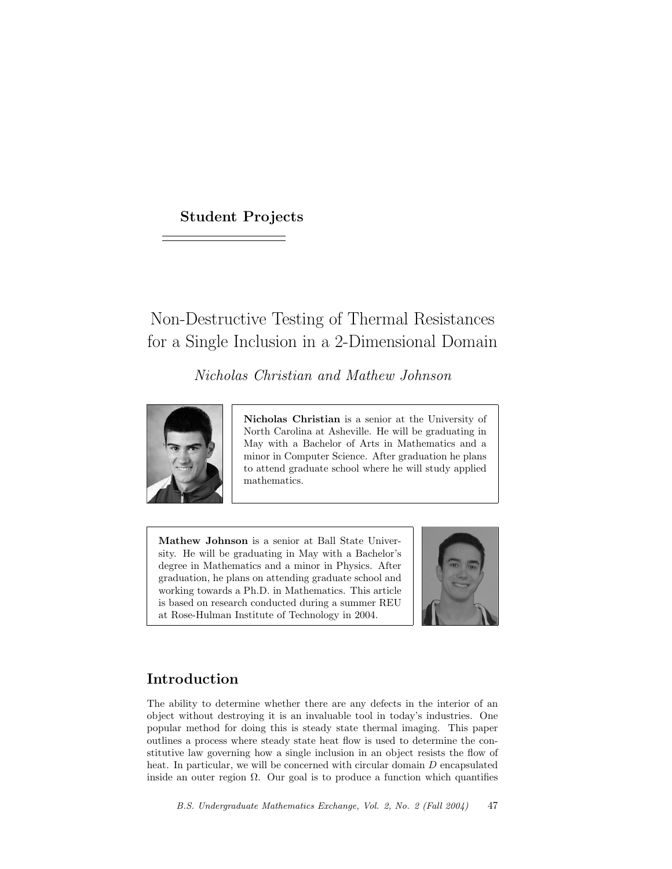# Student Projects

# Non-Destructive Testing of Thermal Resistances for a Single Inclusion in a 2-Dimensional Domain

Nicholas Christian and Mathew Johnson



Nicholas Christian is a senior at the University of North Carolina at Asheville. He will be graduating in May with a Bachelor of Arts in Mathematics and a minor in Computer Science. After graduation he plans to attend graduate school where he will study applied mathematics.

Mathew Johnson is a senior at Ball State University. He will be graduating in May with a Bachelor's degree in Mathematics and a minor in Physics. After graduation, he plans on attending graduate school and working towards a Ph.D. in Mathematics. This article is based on research conducted during a summer REU at Rose-Hulman Institute of Technology in 2004.



# Introduction

The ability to determine whether there are any defects in the interior of an object without destroying it is an invaluable tool in today's industries. One popular method for doing this is steady state thermal imaging. This paper outlines a process where steady state heat flow is used to determine the constitutive law governing how a single inclusion in an object resists the flow of heat. In particular, we will be concerned with circular domain D encapsulated inside an outer region  $\Omega$ . Our goal is to produce a function which quantifies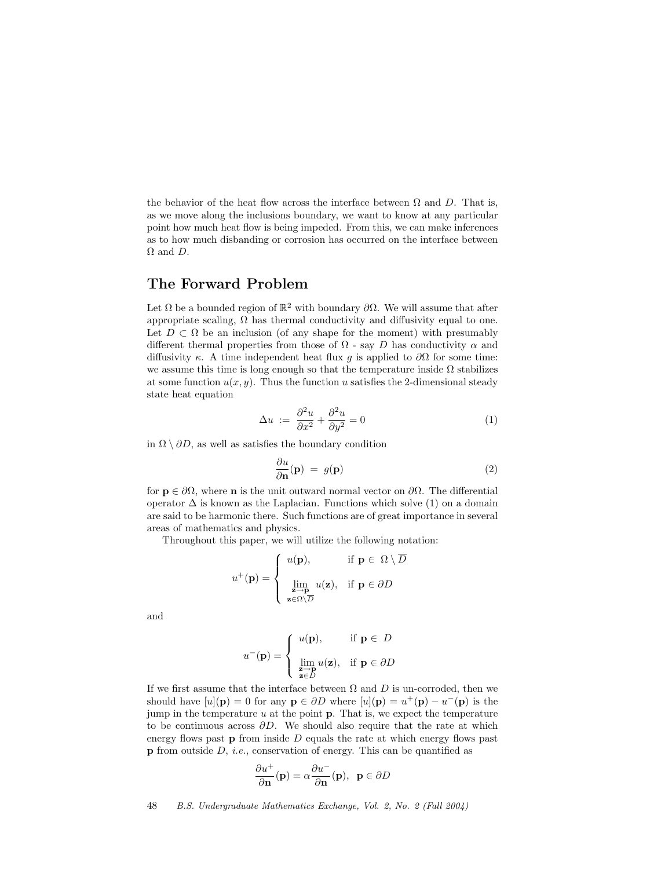the behavior of the heat flow across the interface between  $\Omega$  and D. That is, as we move along the inclusions boundary, we want to know at any particular point how much heat flow is being impeded. From this, we can make inferences as to how much disbanding or corrosion has occurred on the interface between  $\Omega$  and  $D$ .

### The Forward Problem

Let  $\Omega$  be a bounded region of  $\mathbb{R}^2$  with boundary  $\partial\Omega$ . We will assume that after appropriate scaling,  $\Omega$  has thermal conductivity and diffusivity equal to one. Let  $D \subset \Omega$  be an inclusion (of any shape for the moment) with presumably different thermal properties from those of  $\Omega$  - say D has conductivity  $\alpha$  and diffusivity  $\kappa$ . A time independent heat flux g is applied to  $\partial\Omega$  for some time: we assume this time is long enough so that the temperature inside  $\Omega$  stabilizes at some function  $u(x, y)$ . Thus the function u satisfies the 2-dimensional steady state heat equation

$$
\Delta u := \frac{\partial^2 u}{\partial x^2} + \frac{\partial^2 u}{\partial y^2} = 0 \tag{1}
$$

in  $\Omega \setminus \partial D$ , as well as satisfies the boundary condition

$$
\frac{\partial u}{\partial \mathbf{n}}(\mathbf{p}) = g(\mathbf{p}) \tag{2}
$$

for  $\mathbf{p} \in \partial\Omega$ , where **n** is the unit outward normal vector on  $\partial\Omega$ . The differential operator  $\Delta$  is known as the Laplacian. Functions which solve (1) on a domain are said to be harmonic there. Such functions are of great importance in several areas of mathematics and physics.

Throughout this paper, we will utilize the following notation:

$$
u^{+}(\mathbf{p}) = \begin{cases} u(\mathbf{p}), & \text{if } \mathbf{p} \in \Omega \setminus \overline{D} \\ \lim_{\substack{\mathbf{z} \to \mathbf{p} \\ \mathbf{z} \in \Omega \setminus \overline{D}}} u(\mathbf{z}), & \text{if } \mathbf{p} \in \partial D \end{cases}
$$

and

$$
u^{-}(\mathbf{p}) = \begin{cases} u(\mathbf{p}), & \text{if } \mathbf{p} \in D \\ \lim_{\substack{\mathbf{z} \to \mathbf{p} \\ \mathbf{z} \in D}} u(\mathbf{z}), & \text{if } \mathbf{p} \in \partial D \end{cases}
$$

If we first assume that the interface between  $\Omega$  and  $D$  is un-corroded, then we should have  $[u](p) = 0$  for any  $p \in \partial D$  where  $[u](p) = u^+(p) - u^-(p)$  is the jump in the temperature  $u$  at the point  $p$ . That is, we expect the temperature to be continuous across  $\partial D$ . We should also require that the rate at which energy flows past  $\bf{p}$  from inside D equals the rate at which energy flows past  $p$  from outside D, *i.e.*, conservation of energy. This can be quantified as

$$
\frac{\partial u^+}{\partial \mathbf{n}}(\mathbf{p}) = \alpha \frac{\partial u^-}{\partial \mathbf{n}}(\mathbf{p}), \ \ \mathbf{p} \in \partial D
$$

48 B.S. Undergraduate Mathematics Exchange, Vol. 2, No. 2 (Fall 2004)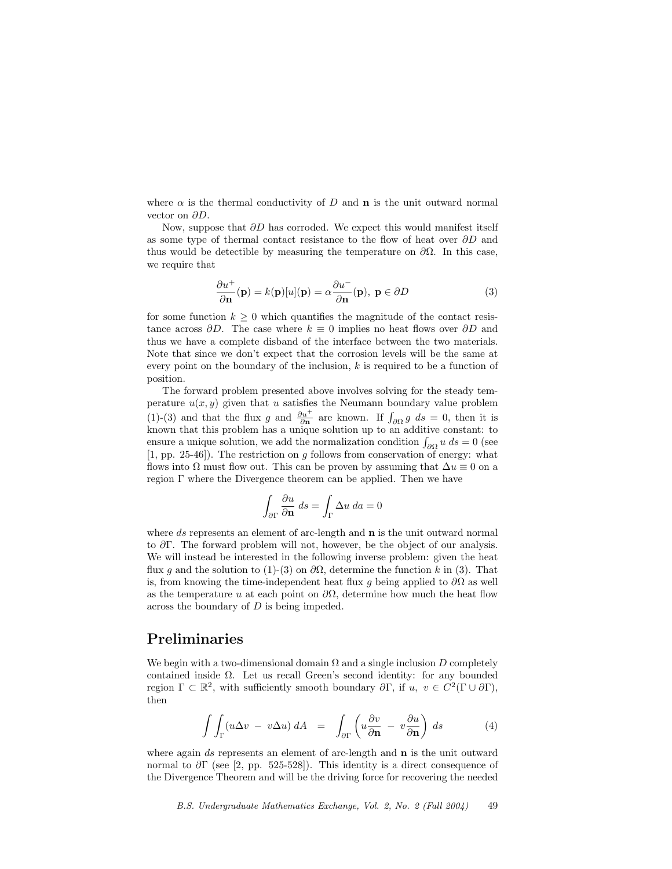where  $\alpha$  is the thermal conductivity of D and **n** is the unit outward normal vector on ∂D.

Now, suppose that  $\partial D$  has corroded. We expect this would manifest itself as some type of thermal contact resistance to the flow of heat over  $\partial D$  and thus would be detectible by measuring the temperature on  $\partial\Omega$ . In this case, we require that

$$
\frac{\partial u^{+}}{\partial \mathbf{n}}(\mathbf{p}) = k(\mathbf{p})[u](\mathbf{p}) = \alpha \frac{\partial u^{-}}{\partial \mathbf{n}}(\mathbf{p}), \ \mathbf{p} \in \partial D \tag{3}
$$

for some function  $k \geq 0$  which quantifies the magnitude of the contact resistance across  $\partial D$ . The case where  $k \equiv 0$  implies no heat flows over  $\partial D$  and thus we have a complete disband of the interface between the two materials. Note that since we don't expect that the corrosion levels will be the same at every point on the boundary of the inclusion,  $k$  is required to be a function of position.

The forward problem presented above involves solving for the steady temperature  $u(x, y)$  given that u satisfies the Neumann boundary value problem (1)-(3) and that the flux g and  $\frac{\partial u^+}{\partial n}$  are known. If  $\int_{\partial\Omega} g ds = 0$ , then it is known that this problem has a unique solution up to an additive constant: to ensure a unique solution, we add the normalization condition  $\int_{\partial\Omega} u \, ds = 0$  (see  $[1, pp. 25-46]$ . The restriction on q follows from conservation of energy: what flows into  $\Omega$  must flow out. This can be proven by assuming that  $\Delta u \equiv 0$  on a region Γ where the Divergence theorem can be applied. Then we have

$$
\int_{\partial \Gamma} \frac{\partial u}{\partial \mathbf{n}} ds = \int_{\Gamma} \Delta u da = 0
$$

where ds represents an element of arc-length and  $\bf{n}$  is the unit outward normal to ∂Γ. The forward problem will not, however, be the object of our analysis. We will instead be interested in the following inverse problem: given the heat flux q and the solution to (1)-(3) on  $\partial\Omega$ , determine the function k in (3). That is, from knowing the time-independent heat flux q being applied to  $\partial\Omega$  as well as the temperature u at each point on  $\partial\Omega$ , determine how much the heat flow across the boundary of D is being impeded.

### Preliminaries

We begin with a two-dimensional domain  $\Omega$  and a single inclusion D completely contained inside  $\Omega$ . Let us recall Green's second identity: for any bounded region  $\Gamma \subset \mathbb{R}^2$ , with sufficiently smooth boundary  $\partial \Gamma$ , if  $u, v \in C^2(\Gamma \cup \partial \Gamma)$ , then

$$
\int \int_{\Gamma} (u \Delta v - v \Delta u) dA = \int_{\partial \Gamma} \left( u \frac{\partial v}{\partial \mathbf{n}} - v \frac{\partial u}{\partial \mathbf{n}} \right) ds \tag{4}
$$

where again ds represents an element of arc-length and **n** is the unit outward normal to  $\partial \Gamma$  (see [2, pp. 525-528]). This identity is a direct consequence of the Divergence Theorem and will be the driving force for recovering the needed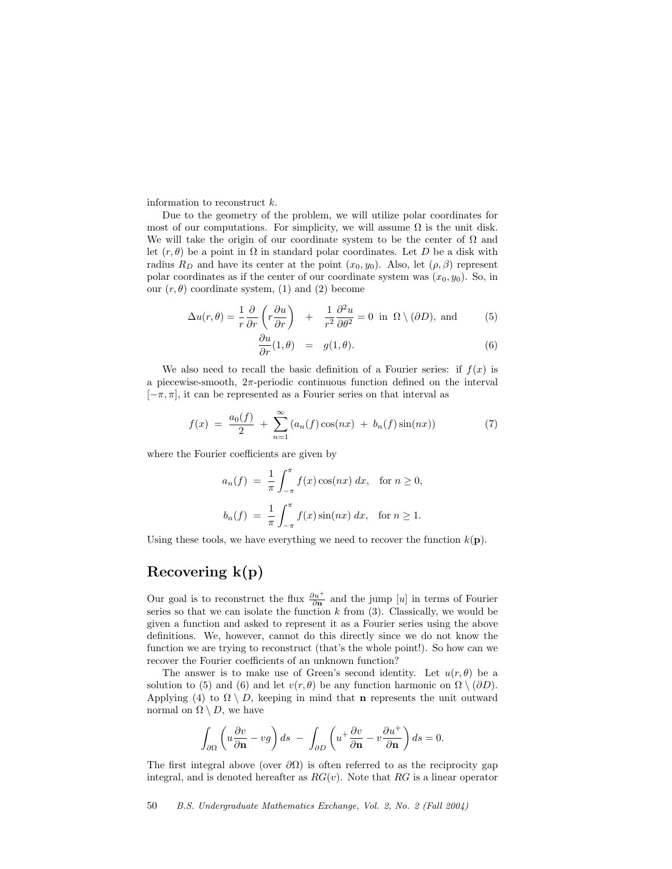information to reconstruct k.

Due to the geometry of the problem, we will utilize polar coordinates for most of our computations. For simplicity, we will assume  $\Omega$  is the unit disk. We will take the origin of our coordinate system to be the center of  $\Omega$  and let  $(r, \theta)$  be a point in  $\Omega$  in standard polar coordinates. Let D be a disk with radius  $R_D$  and have its center at the point  $(x_0, y_0)$ . Also, let  $(\rho, \beta)$  represent polar coordinates as if the center of our coordinate system was  $(x_0, y_0)$ . So, in our  $(r, \theta)$  coordinate system, (1) and (2) become

$$
\Delta u(r,\theta) = \frac{1}{r} \frac{\partial}{\partial r} \left( r \frac{\partial u}{\partial r} \right) + \frac{1}{r^2} \frac{\partial^2 u}{\partial \theta^2} = 0 \text{ in } \Omega \setminus (\partial D), \text{ and } (5)
$$

$$
\frac{\partial u}{\partial r}(1,\theta) = g(1,\theta). \tag{6}
$$

We also need to recall the basic definition of a Fourier series: if  $f(x)$  is a piecewise-smooth,  $2\pi$ -periodic continuous function defined on the interval  $[-\pi, \pi]$ , it can be represented as a Fourier series on that interval as

$$
f(x) = \frac{a_0(f)}{2} + \sum_{n=1}^{\infty} (a_n(f)\cos(nx) + b_n(f)\sin(nx))
$$
 (7)

where the Fourier coefficients are given by

$$
a_n(f) = \frac{1}{\pi} \int_{-\pi}^{\pi} f(x) \cos(nx) dx, \text{ for } n \ge 0,
$$
  

$$
b_n(f) = \frac{1}{\pi} \int_{-\pi}^{\pi} f(x) \sin(nx) dx, \text{ for } n \ge 1.
$$

Using these tools, we have everything we need to recover the function  $k(\mathbf{p})$ .

### Recovering k(p)

Our goal is to reconstruct the flux  $\frac{\partial u^+}{\partial n}$  and the jump [u] in terms of Fourier series so that we can isolate the function  $k$  from (3). Classically, we would be given a function and asked to represent it as a Fourier series using the above definitions. We, however, cannot do this directly since we do not know the function we are trying to reconstruct (that's the whole point!). So how can we recover the Fourier coefficients of an unknown function?

The answer is to make use of Green's second identity. Let  $u(r, \theta)$  be a solution to (5) and (6) and let  $v(r, \theta)$  be any function harmonic on  $\Omega \setminus (\partial D)$ . Applying (4) to  $\Omega \setminus D$ , keeping in mind that **n** represents the unit outward normal on  $\Omega \setminus D$ , we have

$$
\int_{\partial\Omega} \left( u \frac{\partial v}{\partial \mathbf{n}} - v g \right) ds - \int_{\partial D} \left( u^+ \frac{\partial v}{\partial \mathbf{n}} - v \frac{\partial u^+}{\partial \mathbf{n}} \right) ds = 0.
$$

The first integral above (over  $\partial\Omega$ ) is often referred to as the reciprocity gap integral, and is denoted hereafter as  $RG(v)$ . Note that RG is a linear operator

50 B.S. Undergraduate Mathematics Exchange, Vol. 2, No. 2 (Fall 2004)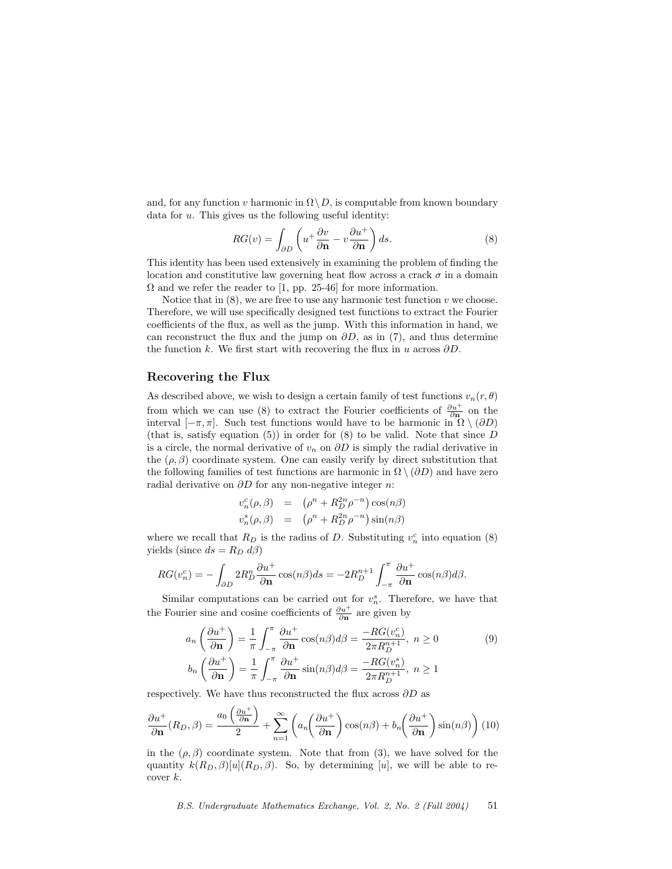and, for any function v harmonic in  $\Omega \setminus D$ , is computable from known boundary data for  $u$ . This gives us the following useful identity:

$$
RG(v) = \int_{\partial D} \left( u^+ \frac{\partial v}{\partial \mathbf{n}} - v \frac{\partial u^+}{\partial \mathbf{n}} \right) ds.
$$
 (8)

This identity has been used extensively in examining the problem of finding the location and constitutive law governing heat flow across a crack  $\sigma$  in a domain  $\Omega$  and we refer the reader to [1, pp. 25-46] for more information.

Notice that in  $(8)$ , we are free to use any harmonic test function v we choose. Therefore, we will use specifically designed test functions to extract the Fourier coefficients of the flux, as well as the jump. With this information in hand, we can reconstruct the flux and the jump on  $\partial D$ , as in (7), and thus determine the function k. We first start with recovering the flux in u across  $\partial D$ .

#### Recovering the Flux

As described above, we wish to design a certain family of test functions  $v_n(r, \theta)$ from which we can use (8) to extract the Fourier coefficients of  $\frac{\partial u^+}{\partial n}$  on the interval  $[-\pi, \pi]$ . Such test functions would have to be harmonic in  $\Omega \setminus (\partial D)$ (that is, satisfy equation  $(5)$ ) in order for  $(8)$  to be valid. Note that since D is a circle, the normal derivative of  $v_n$  on  $\partial D$  is simply the radial derivative in the  $(\rho, \beta)$  coordinate system. One can easily verify by direct substitution that the following families of test functions are harmonic in  $\Omega \setminus (\partial D)$  and have zero radial derivative on  $\partial D$  for any non-negative integer n:

$$
v_n^c(\rho,\beta) = (\rho^n + R_D^{2n} \rho^{-n}) \cos(n\beta)
$$
  

$$
v_n^s(\rho,\beta) = (\rho^n + R_D^{2n} \rho^{-n}) \sin(n\beta)
$$

where we recall that  $R_D$  is the radius of D. Substituting  $v_n^c$  into equation (8) yields (since  $ds = R_D d\beta$ )

$$
RG(v_n^c) = -\int_{\partial D} 2R_D^n \frac{\partial u^+}{\partial \mathbf{n}} \cos(n\beta) ds = -2R_D^{n+1} \int_{-\pi}^{\pi} \frac{\partial u^+}{\partial \mathbf{n}} \cos(n\beta) d\beta.
$$

Similar computations can be carried out for  $v_n^s$ . Therefore, we have that the Fourier sine and cosine coefficients of  $\frac{\partial u^{+}}{\partial \mathbf{n}}$  are given by

$$
a_n \left(\frac{\partial u^+}{\partial \mathbf{n}}\right) = \frac{1}{\pi} \int_{-\pi}^{\pi} \frac{\partial u^+}{\partial \mathbf{n}} \cos(n\beta) d\beta = \frac{-RG(v_n^c)}{2\pi R_D^{n+1}}, \ n \ge 0
$$
(9)  

$$
b_n \left(\frac{\partial u^+}{\partial \mathbf{n}}\right) = \frac{1}{\pi} \int_{-\pi}^{\pi} \frac{\partial u^+}{\partial \mathbf{n}} \sin(n\beta) d\beta = \frac{-RG(v_n^s)}{2\pi R_D^{n+1}}, \ n \ge 1
$$

respectively. We have thus reconstructed the flux across  $\partial D$  as

$$
\frac{\partial u^+}{\partial \mathbf{n}}(R_D, \beta) = \frac{a_0 \left(\frac{\partial u^+}{\partial \mathbf{n}}\right)}{2} + \sum_{n=1}^{\infty} \left( a_n \left(\frac{\partial u^+}{\partial \mathbf{n}}\right) \cos(n\beta) + b_n \left(\frac{\partial u^+}{\partial \mathbf{n}}\right) \sin(n\beta) \right) (10)
$$

in the  $(\rho, \beta)$  coordinate system. Note that from (3), we have solved for the quantity  $k(R_D, \beta)[u](R_D, \beta)$ . So, by determining [u], we will be able to recover  $k$ .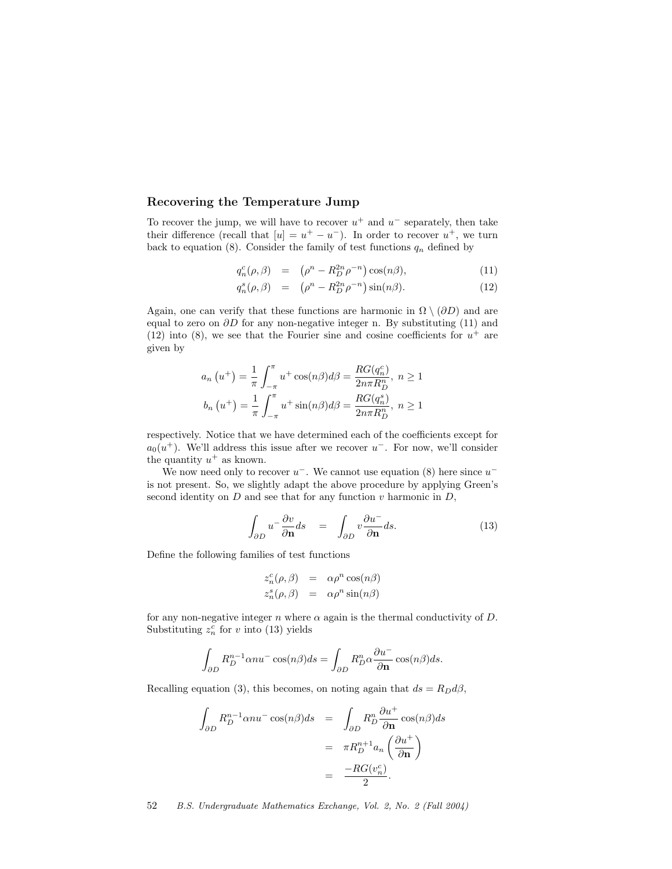#### Recovering the Temperature Jump

To recover the jump, we will have to recover  $u^+$  and  $u^-$  separately, then take their difference (recall that  $[u] = u^+ - u^-$ ). In order to recover  $u^+$ , we turn back to equation (8). Consider the family of test functions  $q_n$  defined by

$$
q_n^c(\rho,\beta) = (\rho^n - R_D^{2n}\rho^{-n})\cos(n\beta), \qquad (11)
$$

$$
q_n^s(\rho,\beta) = (\rho^n - R_D^{2n} \rho^{-n}) \sin(n\beta). \tag{12}
$$

Again, one can verify that these functions are harmonic in  $\Omega \setminus (\partial D)$  and are equal to zero on  $\partial D$  for any non-negative integer n. By substituting (11) and (12) into (8), we see that the Fourier sine and cosine coefficients for  $u^+$  are given by

$$
a_n (u^+) = \frac{1}{\pi} \int_{-\pi}^{\pi} u^+ \cos(n\beta) d\beta = \frac{RG(q_n^c)}{2n\pi R_D^m}, \ n \ge 1
$$

$$
b_n (u^+) = \frac{1}{\pi} \int_{-\pi}^{\pi} u^+ \sin(n\beta) d\beta = \frac{RG(q_n^s)}{2n\pi R_D^m}, \ n \ge 1
$$

respectively. Notice that we have determined each of the coefficients except for  $a_0(u^+)$ . We'll address this issue after we recover  $u^-$ . For now, we'll consider the quantity  $u^+$  as known.

We now need only to recover  $u^-$ . We cannot use equation (8) here since  $u^$ is not present. So, we slightly adapt the above procedure by applying Green's second identity on  $D$  and see that for any function  $v$  harmonic in  $D$ ,

$$
\int_{\partial D} u^{-} \frac{\partial v}{\partial \mathbf{n}} ds = \int_{\partial D} v \frac{\partial u^{-}}{\partial \mathbf{n}} ds. \tag{13}
$$

Define the following families of test functions

$$
z_n^c(\rho, \beta) = \alpha \rho^n \cos(n\beta)
$$
  

$$
z_n^s(\rho, \beta) = \alpha \rho^n \sin(n\beta)
$$

for any non-negative integer  $n$  where  $\alpha$  again is the thermal conductivity of  $D$ . Substituting  $z_n^{\overline{c}}$  for v into (13) yields

$$
\int_{\partial D} R_D^{n-1} \alpha n u^{-} \cos(n\beta) ds = \int_{\partial D} R_D^{n} \alpha \frac{\partial u^{-}}{\partial \mathbf{n}} \cos(n\beta) ds.
$$

Recalling equation (3), this becomes, on noting again that  $ds = R_D d\beta$ ,

$$
\int_{\partial D} R_D^{n-1} \alpha n u^{-} \cos(n\beta) ds = \int_{\partial D} R_D^{n} \frac{\partial u^{+}}{\partial \mathbf{n}} \cos(n\beta) ds
$$

$$
= \pi R_D^{n+1} a_n \left(\frac{\partial u^{+}}{\partial \mathbf{n}}\right)
$$

$$
= \frac{-RG(v_n^c)}{2}.
$$

52 B.S. Undergraduate Mathematics Exchange, Vol. 2, No. 2 (Fall 2004)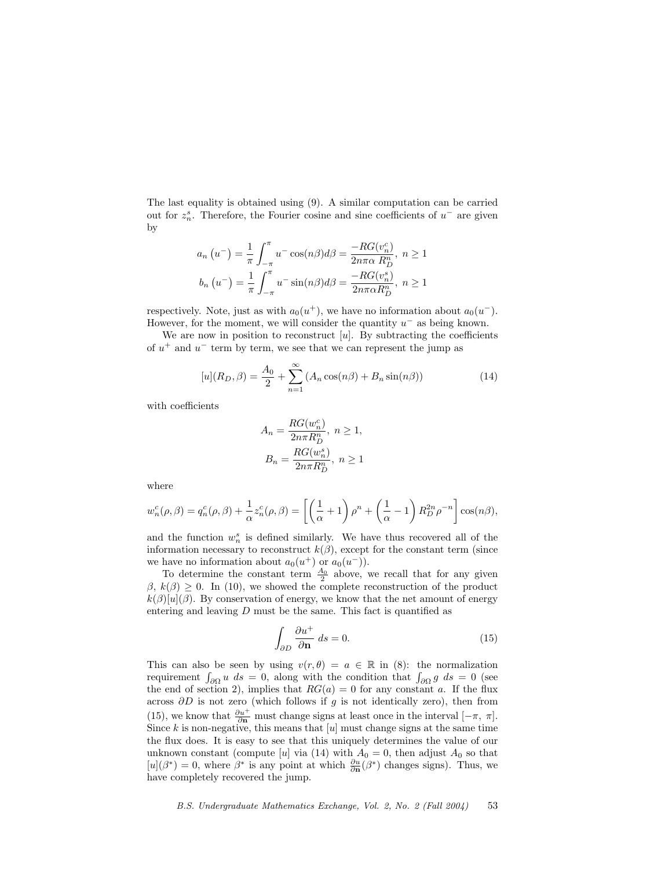The last equality is obtained using (9). A similar computation can be carried out for  $z_n^s$ . Therefore, the Fourier cosine and sine coefficients of  $u^-$  are given by

$$
a_n (u^-) = \frac{1}{\pi} \int_{-\pi}^{\pi} u^- \cos(n\beta) d\beta = \frac{-RG(v_n^c)}{2n\pi\alpha R_D^n}, \ n \ge 1
$$
  

$$
b_n (u^-) = \frac{1}{\pi} \int_{-\pi}^{\pi} u^- \sin(n\beta) d\beta = \frac{-RG(v_n^s)}{2n\pi\alpha R_D^n}, \ n \ge 1
$$

respectively. Note, just as with  $a_0(u^+)$ , we have no information about  $a_0(u^-)$ . However, for the moment, we will consider the quantity  $u^-$  as being known.

We are now in position to reconstruct  $[u]$ . By subtracting the coefficients of  $u^+$  and  $u^-$  term by term, we see that we can represent the jump as

$$
[u](R_D, \beta) = \frac{A_0}{2} + \sum_{n=1}^{\infty} (A_n \cos(n\beta) + B_n \sin(n\beta))
$$
 (14)

with coefficients

$$
A_n = \frac{RG(w_n^c)}{2n\pi R_D^n}, \ n \ge 1,
$$
  

$$
B_n = \frac{RG(w_n^s)}{2n\pi R_D^n}, \ n \ge 1
$$

where

$$
w_n^c(\rho,\beta) = q_n^c(\rho,\beta) + \frac{1}{\alpha} z_n^c(\rho,\beta) = \left[ \left( \frac{1}{\alpha} + 1 \right) \rho^n + \left( \frac{1}{\alpha} - 1 \right) R_D^{2n} \rho^{-n} \right] \cos(n\beta),
$$

and the function  $w_n^s$  is defined similarly. We have thus recovered all of the information necessary to reconstruct  $k(\beta)$ , except for the constant term (since we have no information about  $a_0(u^+)$  or  $a_0(u^-)$ .

To determine the constant term  $\frac{A_0}{2}$  above, we recall that for any given  $\beta, k(\beta) \geq 0$ . In (10), we showed the complete reconstruction of the product  $k(\beta)[u](\beta)$ . By conservation of energy, we know that the net amount of energy entering and leaving  $D$  must be the same. This fact is quantified as

$$
\int_{\partial D} \frac{\partial u^+}{\partial \mathbf{n}} ds = 0.
$$
\n(15)

This can also be seen by using  $v(r, \theta) = a \in \mathbb{R}$  in (8): the normalization requirement  $\int_{\partial\Omega} u \, ds = 0$ , along with the condition that  $\int_{\partial\Omega} g \, ds = 0$  (see the end of section 2), implies that  $RG(a) = 0$  for any constant a. If the flux across  $\partial D$  is not zero (which follows if g is not identically zero), then from (15), we know that  $\frac{\partial u^+}{\partial n}$  must change signs at least once in the interval  $[-\pi, \pi]$ . Since  $k$  is non-negative, this means that  $[u]$  must change signs at the same time the flux does. It is easy to see that this uniquely determines the value of our unknown constant (compute [u] via (14) with  $A_0 = 0$ , then adjust  $A_0$  so that  $[u](\beta^*) = 0$ , where  $\beta^*$  is any point at which  $\frac{\partial u}{\partial n}(\beta^*)$  changes signs). Thus, we have completely recovered the jump.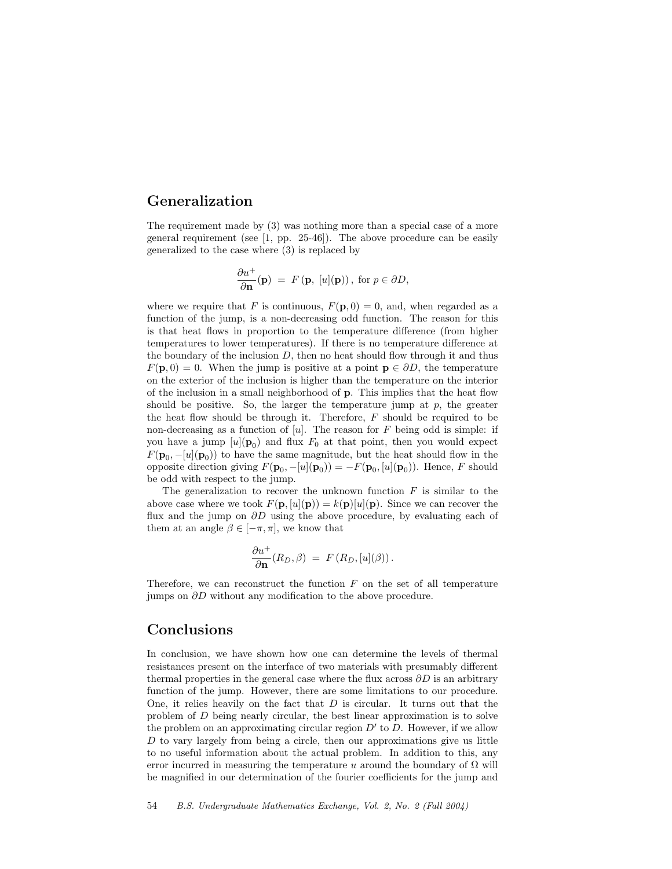# Generalization

The requirement made by (3) was nothing more than a special case of a more general requirement (see [1, pp. 25-46]). The above procedure can be easily generalized to the case where (3) is replaced by

$$
\frac{\partial u^+}{\partial \mathbf{n}}(\mathbf{p}) = F(\mathbf{p}, [u](\mathbf{p})), \text{ for } p \in \partial D,
$$

where we require that F is continuous,  $F(\mathbf{p},0) = 0$ , and, when regarded as a function of the jump, is a non-decreasing odd function. The reason for this is that heat flows in proportion to the temperature difference (from higher temperatures to lower temperatures). If there is no temperature difference at the boundary of the inclusion  $D$ , then no heat should flow through it and thus  $F(\mathbf{p},0) = 0$ . When the jump is positive at a point  $\mathbf{p} \in \partial D$ , the temperature on the exterior of the inclusion is higher than the temperature on the interior of the inclusion in a small neighborhood of p. This implies that the heat flow should be positive. So, the larger the temperature jump at  $p$ , the greater the heat flow should be through it. Therefore,  $F$  should be required to be non-decreasing as a function of  $[u]$ . The reason for F being odd is simple: if you have a jump  $[u](\mathbf{p}_0)$  and flux  $F_0$  at that point, then you would expect  $F(\mathbf{p}_0, -[u](\mathbf{p}_0))$  to have the same magnitude, but the heat should flow in the opposite direction giving  $F(\mathbf{p}_0, -[u](\mathbf{p}_0)) = -F(\mathbf{p}_0, [u](\mathbf{p}_0))$ . Hence, F should be odd with respect to the jump.

The generalization to recover the unknown function  $F$  is similar to the above case where we took  $F(\mathbf{p}, [u](\mathbf{p})) = k(\mathbf{p})[u](\mathbf{p})$ . Since we can recover the flux and the jump on  $\partial D$  using the above procedure, by evaluating each of them at an angle  $\beta \in [-\pi, \pi]$ , we know that

$$
\frac{\partial u^+}{\partial \mathbf{n}}(R_D,\beta) = F(R_D,[u](\beta)).
$$

Therefore, we can reconstruct the function  $F$  on the set of all temperature jumps on  $\partial D$  without any modification to the above procedure.

### Conclusions

In conclusion, we have shown how one can determine the levels of thermal resistances present on the interface of two materials with presumably different thermal properties in the general case where the flux across  $\partial D$  is an arbitrary function of the jump. However, there are some limitations to our procedure. One, it relies heavily on the fact that  $D$  is circular. It turns out that the problem of D being nearly circular, the best linear approximation is to solve the problem on an approximating circular region  $D'$  to  $D$ . However, if we allow D to vary largely from being a circle, then our approximations give us little to no useful information about the actual problem. In addition to this, any error incurred in measuring the temperature u around the boundary of  $\Omega$  will be magnified in our determination of the fourier coefficients for the jump and